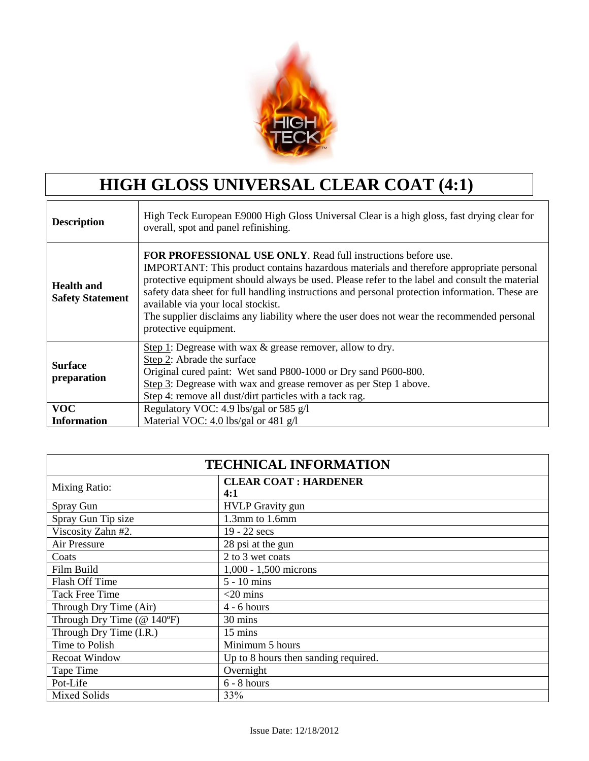

## **HIGH GLOSS UNIVERSAL CLEAR COAT (4:1)**

| <b>Description</b>                           | High Teck European E9000 High Gloss Universal Clear is a high gloss, fast drying clear for<br>overall, spot and panel refinishing.                                                                                                                                                                                                                                                                                                                                                                                                |
|----------------------------------------------|-----------------------------------------------------------------------------------------------------------------------------------------------------------------------------------------------------------------------------------------------------------------------------------------------------------------------------------------------------------------------------------------------------------------------------------------------------------------------------------------------------------------------------------|
| <b>Health and</b><br><b>Safety Statement</b> | <b>FOR PROFESSIONAL USE ONLY.</b> Read full instructions before use.<br>IMPORTANT: This product contains hazardous materials and therefore appropriate personal<br>protective equipment should always be used. Please refer to the label and consult the material<br>safety data sheet for full handling instructions and personal protection information. These are<br>available via your local stockist.<br>The supplier disclaims any liability where the user does not wear the recommended personal<br>protective equipment. |
| <b>Surface</b><br>preparation                | Step 1: Degrease with wax & grease remover, allow to dry.<br>Step 2: Abrade the surface<br>Original cured paint: Wet sand P800-1000 or Dry sand P600-800.<br>Step 3: Degrease with wax and grease remover as per Step 1 above.<br>Step 4: remove all dust/dirt particles with a tack rag.                                                                                                                                                                                                                                         |
| <b>VOC</b>                                   | Regulatory VOC: 4.9 lbs/gal or 585 g/l                                                                                                                                                                                                                                                                                                                                                                                                                                                                                            |
| <b>Information</b>                           | Material VOC: 4.0 lbs/gal or 481 g/l                                                                                                                                                                                                                                                                                                                                                                                                                                                                                              |

| <b>TECHNICAL INFORMATION</b>                      |                                      |  |  |  |  |
|---------------------------------------------------|--------------------------------------|--|--|--|--|
| <b>Mixing Ratio:</b>                              | <b>CLEAR COAT : HARDENER</b><br>4:1  |  |  |  |  |
| Spray Gun                                         | <b>HVLP</b> Gravity gun              |  |  |  |  |
| Spray Gun Tip size                                | 1.3mm to 1.6mm                       |  |  |  |  |
| Viscosity Zahn #2.                                | 19 - 22 secs                         |  |  |  |  |
| Air Pressure                                      | 28 psi at the gun                    |  |  |  |  |
| Coats                                             | 2 to 3 wet coats                     |  |  |  |  |
| Film Build                                        | $1,000 - 1,500$ microns              |  |  |  |  |
| <b>Flash Off Time</b>                             | $5 - 10$ mins                        |  |  |  |  |
| <b>Tack Free Time</b>                             | $<$ 20 mins                          |  |  |  |  |
| Through Dry Time (Air)                            | $4 - 6$ hours                        |  |  |  |  |
| Through Dry Time $(\textcircled{a} 140^{\circ}F)$ | 30 mins                              |  |  |  |  |
| Through Dry Time (I.R.)                           | 15 mins                              |  |  |  |  |
| Time to Polish                                    | Minimum 5 hours                      |  |  |  |  |
| Recoat Window                                     | Up to 8 hours then sanding required. |  |  |  |  |
| Tape Time                                         | Overnight                            |  |  |  |  |
| Pot-Life                                          | $6 - 8$ hours                        |  |  |  |  |
| <b>Mixed Solids</b>                               | 33%                                  |  |  |  |  |